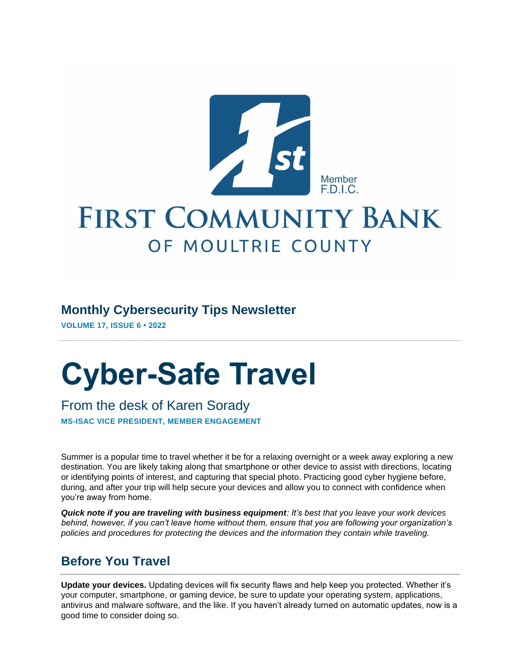

# **FIRST COMMUNITY BANK** OF MOULTRIE COUNTY

#### **Monthly Cybersecurity Tips Newsletter**

**VOLUME 17, ISSUE 6 • 2022**

# **Cyber-Safe Travel**

From the desk of Karen Sorady **MS-ISAC VICE PRESIDENT, MEMBER ENGAGEMENT**

Summer is a popular time to travel whether it be for a relaxing overnight or a week away exploring a new destination. You are likely taking along that smartphone or other device to assist with directions, locating or identifying points of interest, and capturing that special photo. Practicing good cyber hygiene before, during, and after your trip will help secure your devices and allow you to connect with confidence when you're away from home.

*Quick note if you are traveling with business equipment: It's best that you leave your work devices behind, however, if you can't leave home without them, ensure that you are following your organization's policies and procedures for protecting the devices and the information they contain while traveling.*

## **Before You Travel**

**Update your devices.** Updating devices will fix security flaws and help keep you protected. Whether it's your computer, smartphone, or gaming device, be sure to update your operating system, applications, antivirus and malware software, and the like. If you haven't already turned on automatic updates, now is a good time to consider doing so.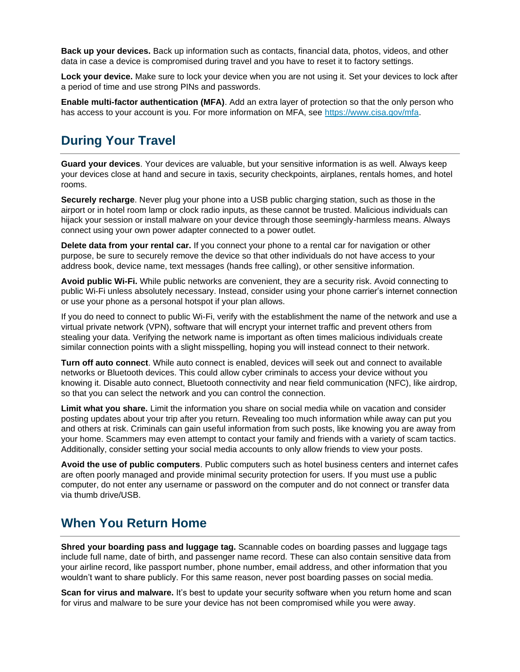**Back up your devices.** Back up information such as contacts, financial data, photos, videos, and other data in case a device is compromised during travel and you have to reset it to factory settings.

**Lock your device.** Make sure to lock your device when you are not using it. Set your devices to lock after a period of time and use strong PINs and passwords.

**Enable multi-factor authentication (MFA)**. Add an extra layer of protection so that the only person who has access to your account is you. For more information on MFA, see [https://www.cisa.gov/mfa.](https://www.cisa.gov/mfa)

# **During Your Travel**

**Guard your devices**. Your devices are valuable, but your sensitive information is as well. Always keep your devices close at hand and secure in taxis, security checkpoints, airplanes, rentals homes, and hotel rooms.

**Securely recharge**. Never plug your phone into a USB public charging station, such as those in the airport or in hotel room lamp or clock radio inputs, as these cannot be trusted. Malicious individuals can hijack your session or install malware on your device through those seemingly-harmless means. Always connect using your own power adapter connected to a power outlet.

**Delete data from your rental car.** If you connect your phone to a rental car for navigation or other purpose, be sure to securely remove the device so that other individuals do not have access to your address book, device name, text messages (hands free calling), or other sensitive information.

**Avoid public Wi-Fi.** While public networks are convenient, they are a security risk. Avoid connecting to public Wi-Fi unless absolutely necessary. Instead, consider using your phone carrier's internet connection or use your phone as a personal hotspot if your plan allows.

If you do need to connect to public Wi-Fi, verify with the establishment the name of the network and use a virtual private network (VPN), software that will encrypt your internet traffic and prevent others from stealing your data. Verifying the network name is important as often times malicious individuals create similar connection points with a slight misspelling, hoping you will instead connect to their network.

**Turn off auto connect**. While auto connect is enabled, devices will seek out and connect to available networks or Bluetooth devices. This could allow cyber criminals to access your device without you knowing it. Disable auto connect, Bluetooth connectivity and near field communication (NFC), like airdrop, so that you can select the network and you can control the connection.

**Limit what you share.** Limit the information you share on social media while on vacation and consider posting updates about your trip after you return. Revealing too much information while away can put you and others at risk. Criminals can gain useful information from such posts, like knowing you are away from your home. Scammers may even attempt to contact your family and friends with a variety of scam tactics. Additionally, consider setting your social media accounts to only allow friends to view your posts.

**Avoid the use of public computers**. Public computers such as hotel business centers and internet cafes are often poorly managed and provide minimal security protection for users. If you must use a public computer, do not enter any username or password on the computer and do not connect or transfer data via thumb drive/USB.

#### **When You Return Home**

**Shred your boarding pass and luggage tag.** Scannable codes on boarding passes and luggage tags include full name, date of birth, and passenger name record. These can also contain sensitive data from your airline record, like passport number, phone number, email address, and other information that you wouldn't want to share publicly. For this same reason, never post boarding passes on social media.

**Scan for virus and malware.** It's best to update your security software when you return home and scan for virus and malware to be sure your device has not been compromised while you were away.